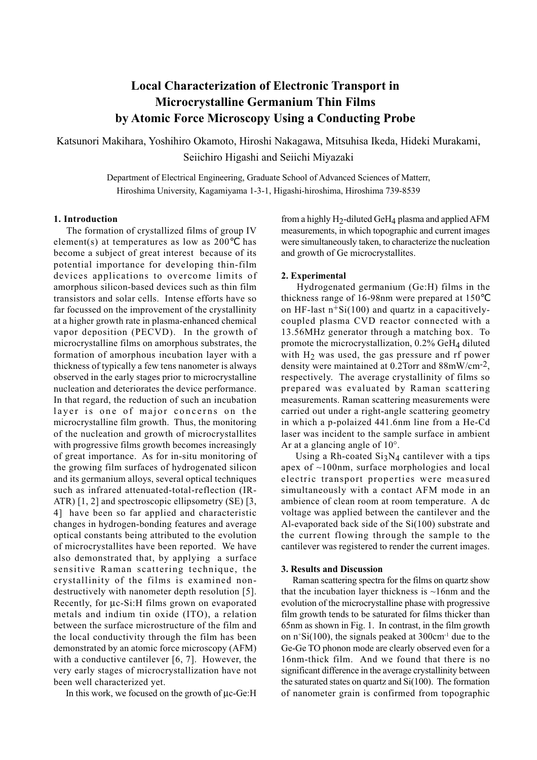# **Local Characterization of Electronic Transport in Microcrystalline Germanium Thin Films by Atomic Force Microscopy Using a Conducting Probe**

Katsunori Makihara, Yoshihiro Okamoto, Hiroshi Nakagawa, Mitsuhisa Ikeda, Hideki Murakami, Seiichiro Higashi and Seiichi Miyazaki

> Department of Electrical Engineering, Graduate School of Advanced Sciences of Matterr, Hiroshima University, Kagamiyama 1-3-1, Higashi-hiroshima, Hiroshima 739-8539

## **1. Introduction**

 The formation of crystallized films of group IV element(s) at temperatures as low as 200 has become a subject of great interest because of its potential importance for developing thin-film devices applications to overcome limits of amorphous silicon-based devices such as thin film transistors and solar cells. Intense efforts have so far focussed on the improvement of the crystallinity at a higher growth rate in plasma-enhanced chemical vapor deposition (PECVD). In the growth of microcrystalline films on amorphous substrates, the formation of amorphous incubation layer with a thickness of typically a few tens nanometer is always observed in the early stages prior to microcrystalline nucleation and deteriorates the device performance. In that regard, the reduction of such an incubation layer is one of major concerns on the microcrystalline film growth. Thus, the monitoring of the nucleation and growth of microcrystallites with progressive films growth becomes increasingly of great importance. As for in-situ monitoring of the growing film surfaces of hydrogenated silicon and its germanium alloys, several optical techniques such as infrared attenuated-total-reflection (IR-ATR) [1, 2] and spectroscopic ellipsometry (SE) [3, 4] have been so far applied and characteristic changes in hydrogen-bonding features and average optical constants being attributed to the evolution of microcrystallites have been reported. We have also demonstrated that, by applying a surface sensitive Raman scattering technique, the crystallinity of the films is examined nondestructively with nanometer depth resolution [5]. Recently, for µc-Si:H films grown on evaporated metals and indium tin oxide (ITO), a relation between the surface microstructure of the film and the local conductivity through the film has been demonstrated by an atomic force microscopy (AFM) with a conductive cantilever [6, 7]. However, the very early stages of microcrystallization have not been well characterized yet.

In this work, we focused on the growth of µc-Ge:H

from a highly  $H_2$ -diluted Ge $H_4$  plasma and applied AFM measurements, in which topographic and current images were simultaneously taken, to characterize the nucleation and growth of Ge microcrystallites.

#### **2. Experimental**

 Hydrogenated germanium (Ge:H) films in the thickness range of 16-98nm were prepared at 150 on HF-last  $n+Si(100)$  and quartz in a capacitivelycoupled plasma CVD reactor connected with a 13.56MHz generator through a matching box. To promote the microcrystallization,  $0.2\%$  GeH<sub>4</sub> diluted with  $H_2$  was used, the gas pressure and rf power density were maintained at 0.2Torr and 88mW/cm-2, respectively. The average crystallinity of films so prepared was evaluated by Raman scattering measurements. Raman scattering measurements were carried out under a right-angle scattering geometry in which a p-polaized 441.6nm line from a He-Cd laser was incident to the sample surface in ambient Ar at a glancing angle of 10°.

Using a Rh-coated  $Si<sub>3</sub>N<sub>4</sub>$  cantilever with a tips apex of ~100nm, surface morphologies and local electric transport properties were measured simultaneously with a contact AFM mode in an ambience of clean room at room temperature. A dc voltage was applied between the cantilever and the Al-evaporated back side of the Si(100) substrate and the current flowing through the sample to the cantilever was registered to render the current images.

### **3. Results and Discussion**

 Raman scattering spectra for the films on quartz show that the incubation layer thickness is  $\sim$ 16nm and the evolution of the microcrystalline phase with progressive film growth tends to be saturated for films thicker than 65nm as shown in Fig. 1. In contrast, in the film growth on n+ Si(100), the signals peaked at 300cm-1 due to the Ge-Ge TO phonon mode are clearly observed even for a 16nm-thick film. And we found that there is no significant difference in the average crystallinity between the saturated states on quartz and Si(100). The formation of nanometer grain is confirmed from topographic